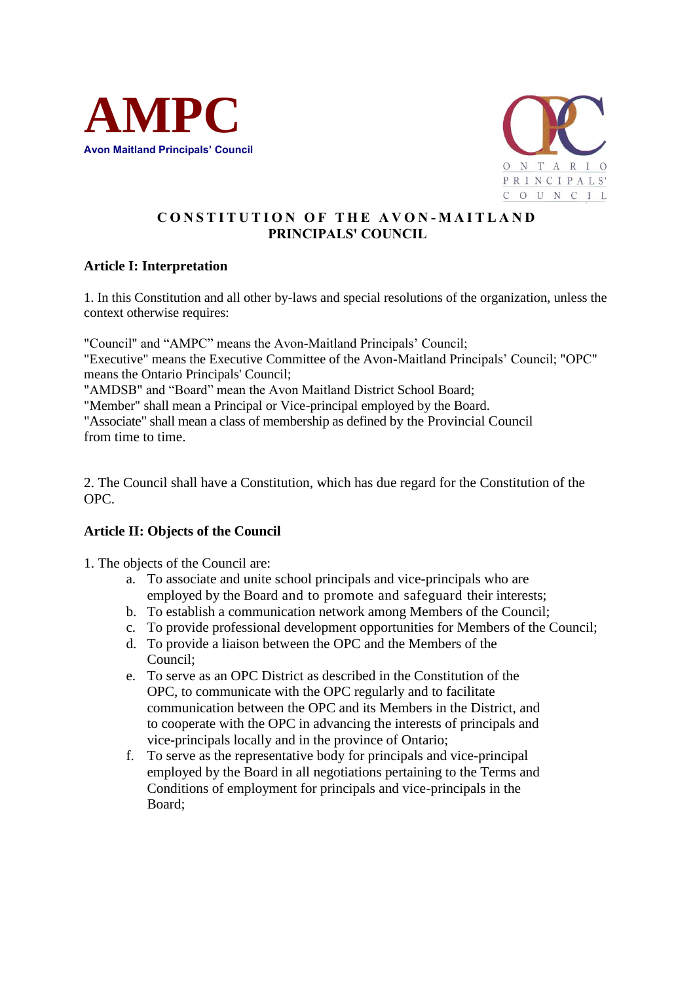



# **C O N S T I T U T I O N O F T H E A V O N - M A I T L A N D PRINCIPALS' COUNCIL**

## **Article I: Interpretation**

1. In this Constitution and all other by-laws and special resolutions of the organization, unless the context otherwise requires:

"Council" and "AMPC" means the Avon-Maitland Principals' Council; "Executive" means the Executive Committee of the Avon-Maitland Principals' Council; "OPC" means the Ontario Principals' Council; "AMDSB" and "Board" mean the Avon Maitland District School Board; "Member" shall mean a Principal or Vice-principal employed by the Board. "Associate" shall mean a class of membership as defined by the Provincial Council

from time to time.

2. The Council shall have a Constitution, which has due regard for the Constitution of the OPC.

#### **Article II: Objects of the Council**

1. The objects of the Council are:

- a. To associate and unite school principals and vice-principals who are employed by the Board and to promote and safeguard their interests;
- b. To establish a communication network among Members of the Council;
- c. To provide professional development opportunities for Members of the Council;
- d. To provide a liaison between the OPC and the Members of the Council;
- e. To serve as an OPC District as described in the Constitution of the OPC, to communicate with the OPC regularly and to facilitate communication between the OPC and its Members in the District, and to cooperate with the OPC in advancing the interests of principals and vice-principals locally and in the province of Ontario;
- f. To serve as the representative body for principals and vice-principal employed by the Board in all negotiations pertaining to the Terms and Conditions of employment for principals and vice-principals in the Board;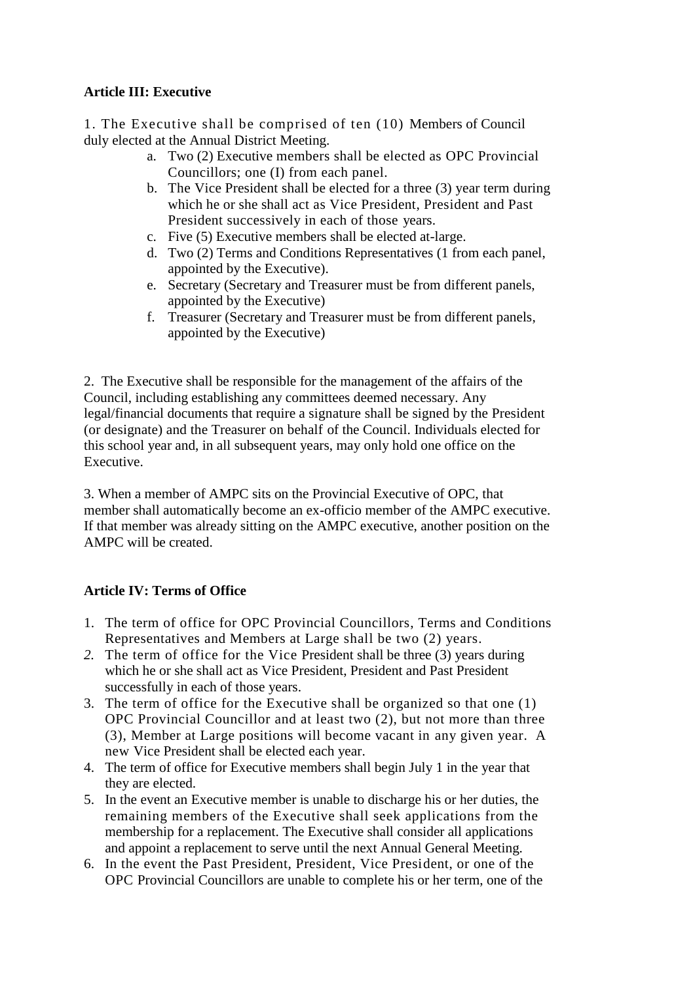## **Article III: Executive**

1. The Executive shall be comprised of ten (10) Members of Council duly elected at the Annual District Meeting.

- a. Two (2) Executive members shall be elected as OPC Provincial Councillors; one (I) from each panel.
- b. The Vice President shall be elected for a three (3) year term during which he or she shall act as Vice President, President and Past President successively in each of those years.
- c. Five (5) Executive members shall be elected at-large.
- d. Two (2) Terms and Conditions Representatives (1 from each panel, appointed by the Executive).
- e. Secretary (Secretary and Treasurer must be from different panels, appointed by the Executive)
- f. Treasurer (Secretary and Treasurer must be from different panels, appointed by the Executive)

2. The Executive shall be responsible for the management of the affairs of the Council, including establishing any committees deemed necessary. Any legal/financial documents that require a signature shall be signed by the President (or designate) and the Treasurer on behalf of the Council. Individuals elected for this school year and, in all subsequent years, may only hold one office on the Executive.

3. When a member of AMPC sits on the Provincial Executive of OPC, that member shall automatically become an ex-officio member of the AMPC executive. If that member was already sitting on the AMPC executive, another position on the AMPC will be created.

## **Article IV: Terms of Office**

- 1. The term of office for OPC Provincial Councillors, Terms and Conditions Representatives and Members at Large shall be two (2) years.
- *2.* The term of office for the Vice President shall be three (3) years during which he or she shall act as Vice President, President and Past President successfully in each of those years.
- 3. The term of office for the Executive shall be organized so that one (1) OPC Provincial Councillor and at least two (2), but not more than three (3), Member at Large positions will become vacant in any given year. A new Vice President shall be elected each year.
- 4. The term of office for Executive members shall begin July 1 in the year that they are elected.
- 5. In the event an Executive member is unable to discharge his or her duties, the remaining members of the Executive shall seek applications from the membership for a replacement. The Executive shall consider all applications and appoint a replacement to serve until the next Annual General Meeting.
- 6. In the event the Past President, President, Vice President, or one of the OPC Provincial Councillors are unable to complete his or her term, one of the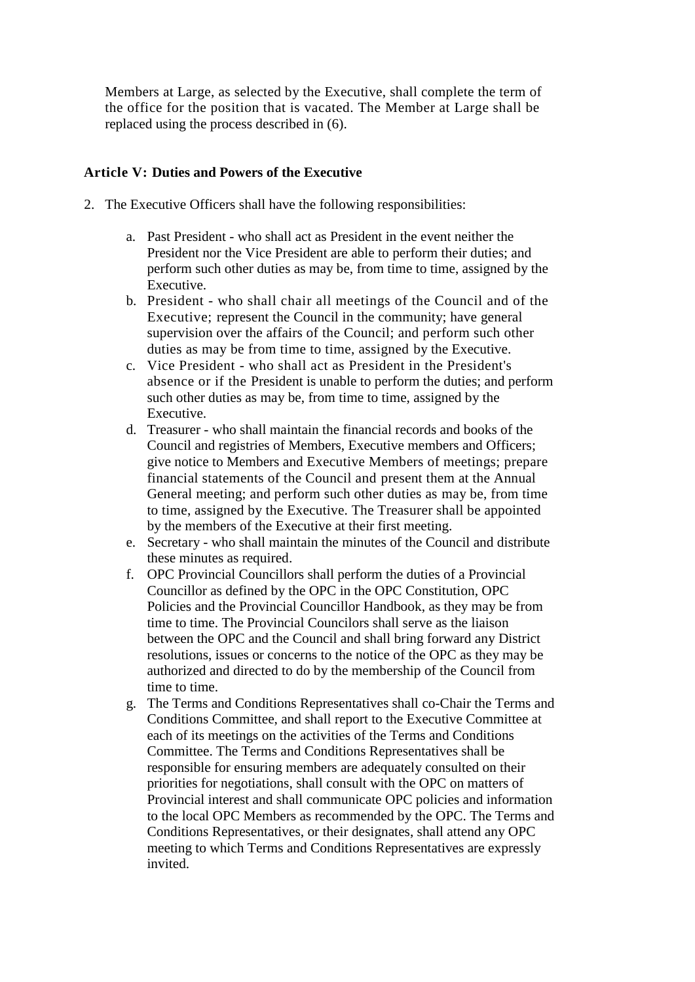Members at Large, as selected by the Executive, shall complete the term of the office for the position that is vacated. The Member at Large shall be replaced using the process described in (6).

### **Article V: Duties and Powers of the Executive**

- 2. The Executive Officers shall have the following responsibilities:
	- a. Past President who shall act as President in the event neither the President nor the Vice President are able to perform their duties; and perform such other duties as may be, from time to time, assigned by the Executive.
	- b. President who shall chair all meetings of the Council and of the Executive; represent the Council in the community; have general supervision over the affairs of the Council; and perform such other duties as may be from time to time, assigned by the Executive.
	- c. Vice President who shall act as President in the President's absence or if the President is unable to perform the duties; and perform such other duties as may be, from time to time, assigned by the Executive.
	- d. Treasurer who shall maintain the financial records and books of the Council and registries of Members, Executive members and Officers; give notice to Members and Executive Members of meetings; prepare financial statements of the Council and present them at the Annual General meeting; and perform such other duties as may be, from time to time, assigned by the Executive. The Treasurer shall be appointed by the members of the Executive at their first meeting.
	- e. Secretary who shall maintain the minutes of the Council and distribute these minutes as required.
	- f. OPC Provincial Councillors shall perform the duties of a Provincial Councillor as defined by the OPC in the OPC Constitution, OPC Policies and the Provincial Councillor Handbook, as they may be from time to time. The Provincial Councilors shall serve as the liaison between the OPC and the Council and shall bring forward any District resolutions, issues or concerns to the notice of the OPC as they may be authorized and directed to do by the membership of the Council from time to time.
	- g. The Terms and Conditions Representatives shall co-Chair the Terms and Conditions Committee, and shall report to the Executive Committee at each of its meetings on the activities of the Terms and Conditions Committee. The Terms and Conditions Representatives shall be responsible for ensuring members are adequately consulted on their priorities for negotiations, shall consult with the OPC on matters of Provincial interest and shall communicate OPC policies and information to the local OPC Members as recommended by the OPC. The Terms and Conditions Representatives, or their designates, shall attend any OPC meeting to which Terms and Conditions Representatives are expressly invited.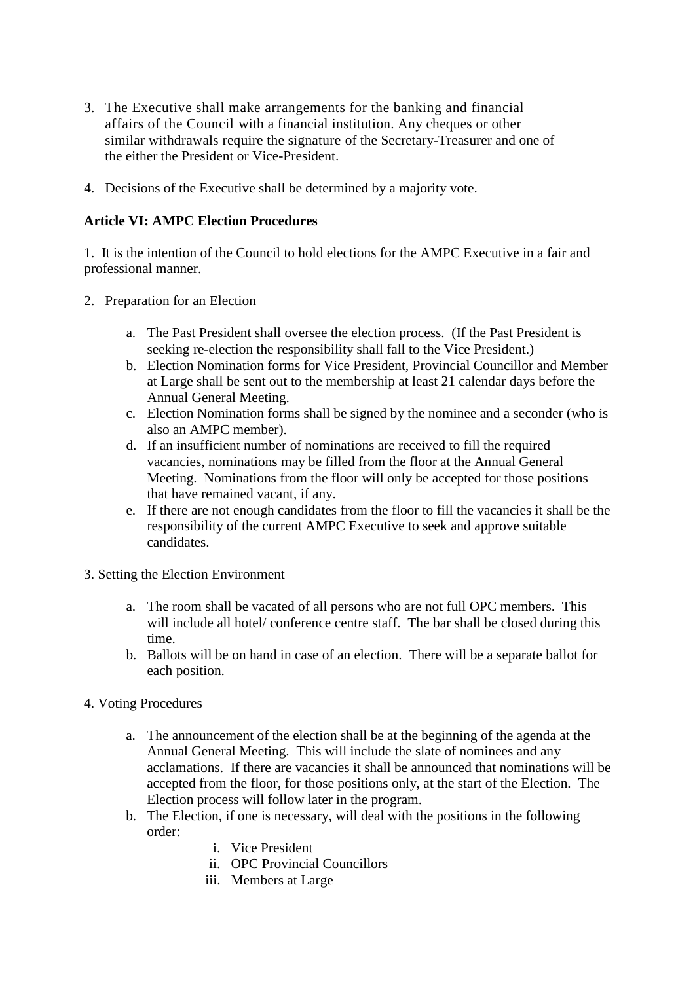- 3. The Executive shall make arrangements for the banking and financial affairs of the Council with a financial institution. Any cheques or other similar withdrawals require the signature of the Secretary-Treasurer and one of the either the President or Vice-President.
- 4. Decisions of the Executive shall be determined by a majority vote.

#### **Article VI: AMPC Election Procedures**

1. It is the intention of the Council to hold elections for the AMPC Executive in a fair and professional manner.

- 2. Preparation for an Election
	- a. The Past President shall oversee the election process. (If the Past President is seeking re-election the responsibility shall fall to the Vice President.)
	- b. Election Nomination forms for Vice President, Provincial Councillor and Member at Large shall be sent out to the membership at least 21 calendar days before the Annual General Meeting.
	- c. Election Nomination forms shall be signed by the nominee and a seconder (who is also an AMPC member).
	- d. If an insufficient number of nominations are received to fill the required vacancies, nominations may be filled from the floor at the Annual General Meeting. Nominations from the floor will only be accepted for those positions that have remained vacant, if any.
	- e. If there are not enough candidates from the floor to fill the vacancies it shall be the responsibility of the current AMPC Executive to seek and approve suitable candidates.
- 3. Setting the Election Environment
	- a. The room shall be vacated of all persons who are not full OPC members. This will include all hotel/ conference centre staff. The bar shall be closed during this time.
	- b. Ballots will be on hand in case of an election. There will be a separate ballot for each position.
- 4. Voting Procedures
	- a. The announcement of the election shall be at the beginning of the agenda at the Annual General Meeting. This will include the slate of nominees and any acclamations. If there are vacancies it shall be announced that nominations will be accepted from the floor, for those positions only, at the start of the Election. The Election process will follow later in the program.
	- b. The Election, if one is necessary, will deal with the positions in the following order:
		- i. Vice President
		- ii. OPC Provincial Councillors
		- iii. Members at Large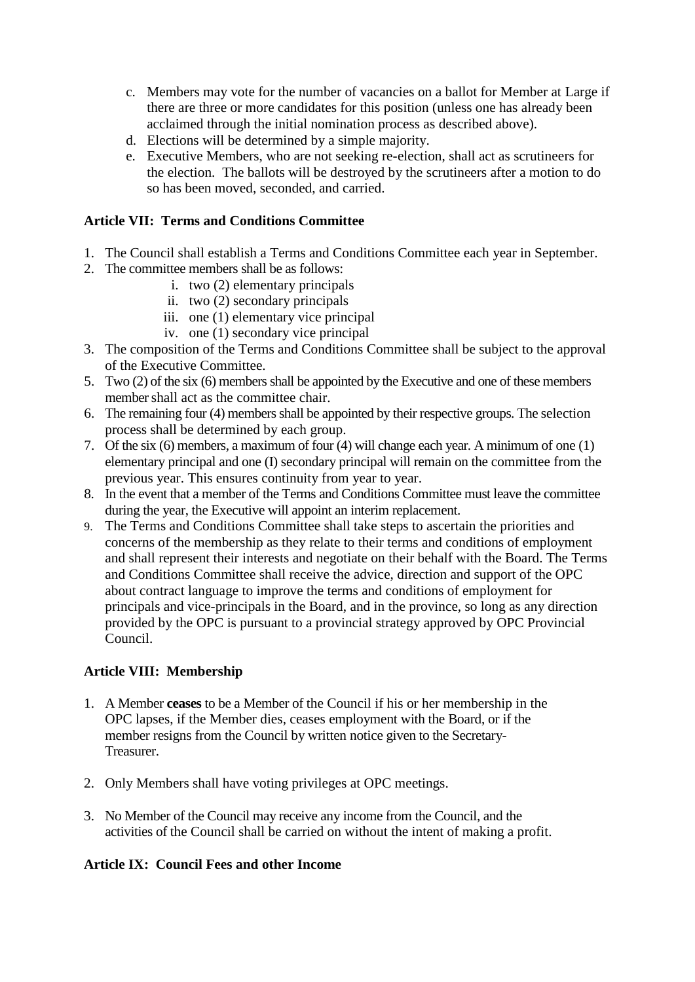- c. Members may vote for the number of vacancies on a ballot for Member at Large if there are three or more candidates for this position (unless one has already been acclaimed through the initial nomination process as described above).
- d. Elections will be determined by a simple majority.
- e. Executive Members, who are not seeking re-election, shall act as scrutineers for the election. The ballots will be destroyed by the scrutineers after a motion to do so has been moved, seconded, and carried.

### **Article VII: Terms and Conditions Committee**

- 1. The Council shall establish a Terms and Conditions Committee each year in September.
- 2. The committee members shall be as follows:
	- i. two (2) elementary principals
	- ii. two (2) secondary principals
	- iii. one (1) elementary vice principal
	- iv. one (1) secondary vice principal
- 3. The composition of the Terms and Conditions Committee shall be subject to the approval of the Executive Committee.
- 5. Two (2) of the six (6) members shall be appointed by the Executive and one of these members member shall act as the committee chair.
- 6. The remaining four (4) members shall be appointed by their respective groups. The selection process shall be determined by each group.
- 7. Of the six (6) members, a maximum of four (4) will change each year. A minimum of one (1) elementary principal and one (I) secondary principal will remain on the committee from the previous year. This ensures continuity from year to year.
- 8. In the event that a member of the Terms and Conditions Committee must leave the committee during the year, the Executive will appoint an interim replacement.
- 9. The Terms and Conditions Committee shall take steps to ascertain the priorities and concerns of the membership as they relate to their terms and conditions of employment and shall represent their interests and negotiate on their behalf with the Board. The Terms and Conditions Committee shall receive the advice, direction and support of the OPC about contract language to improve the terms and conditions of employment for principals and vice-principals in the Board, and in the province, so long as any direction provided by the OPC is pursuant to a provincial strategy approved by OPC Provincial Council.

## **Article VIII: Membership**

- 1. A Member **ceases** to be a Member of the Council if his or her membership in the OPC lapses, if the Member dies, ceases employment with the Board, or if the member resigns from the Council by written notice given to the Secretary-Treasurer.
- 2. Only Members shall have voting privileges at OPC meetings.
- 3. No Member of the Council may receive any income from the Council, and the activities of the Council shall be carried on without the intent of making a profit.

#### **Article IX: Council Fees and other Income**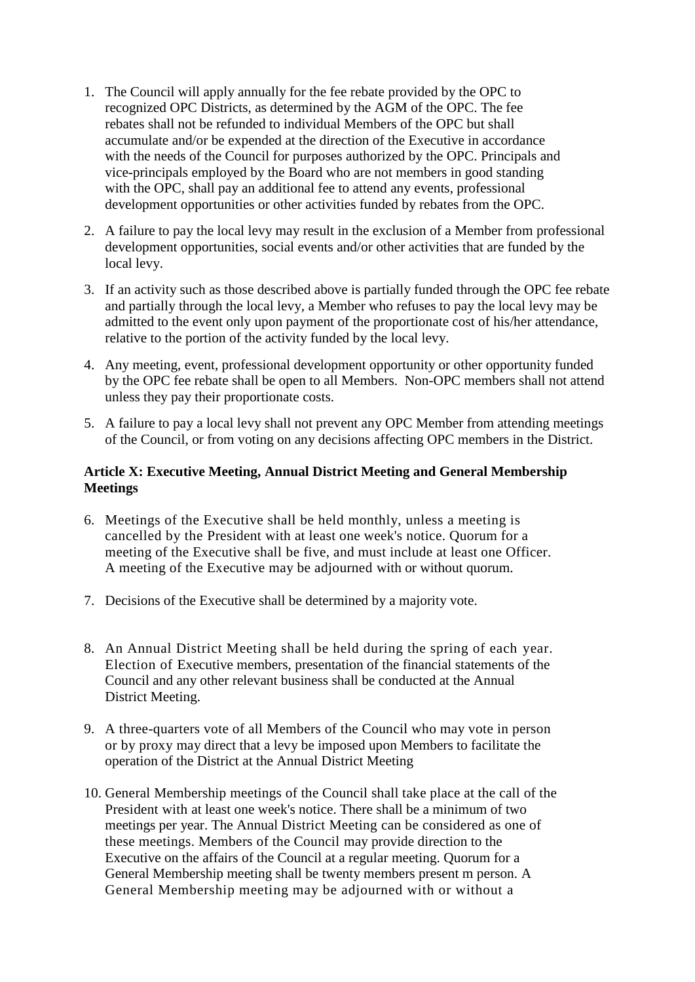- 1. The Council will apply annually for the fee rebate provided by the OPC to recognized OPC Districts, as determined by the AGM of the OPC. The fee rebates shall not be refunded to individual Members of the OPC but shall accumulate and/or be expended at the direction of the Executive in accordance with the needs of the Council for purposes authorized by the OPC. Principals and vice-principals employed by the Board who are not members in good standing with the OPC, shall pay an additional fee to attend any events, professional development opportunities or other activities funded by rebates from the OPC.
- 2. A failure to pay the local levy may result in the exclusion of a Member from professional development opportunities, social events and/or other activities that are funded by the local levy.
- 3. If an activity such as those described above is partially funded through the OPC fee rebate and partially through the local levy, a Member who refuses to pay the local levy may be admitted to the event only upon payment of the proportionate cost of his/her attendance, relative to the portion of the activity funded by the local levy.
- 4. Any meeting, event, professional development opportunity or other opportunity funded by the OPC fee rebate shall be open to all Members. Non-OPC members shall not attend unless they pay their proportionate costs.
- 5. A failure to pay a local levy shall not prevent any OPC Member from attending meetings of the Council, or from voting on any decisions affecting OPC members in the District.

## **Article X: Executive Meeting, Annual District Meeting and General Membership Meetings**

- 6. Meetings of the Executive shall be held monthly, unless a meeting is cancelled by the President with at least one week's notice. Quorum for a meeting of the Executive shall be five, and must include at least one Officer. A meeting of the Executive may be adjourned with or without quorum.
- 7. Decisions of the Executive shall be determined by a majority vote.
- 8. An Annual District Meeting shall be held during the spring of each year. Election of Executive members, presentation of the financial statements of the Council and any other relevant business shall be conducted at the Annual District Meeting.
- 9. A three-quarters vote of all Members of the Council who may vote in person or by proxy may direct that a levy be imposed upon Members to facilitate the operation of the District at the Annual District Meeting
- 10. General Membership meetings of the Council shall take place at the call of the President with at least one week's notice. There shall be a minimum of two meetings per year. The Annual District Meeting can be considered as one of these meetings. Members of the Council may provide direction to the Executive on the affairs of the Council at a regular meeting. Quorum for a General Membership meeting shall be twenty members present m person. A General Membership meeting may be adjourned with or without a